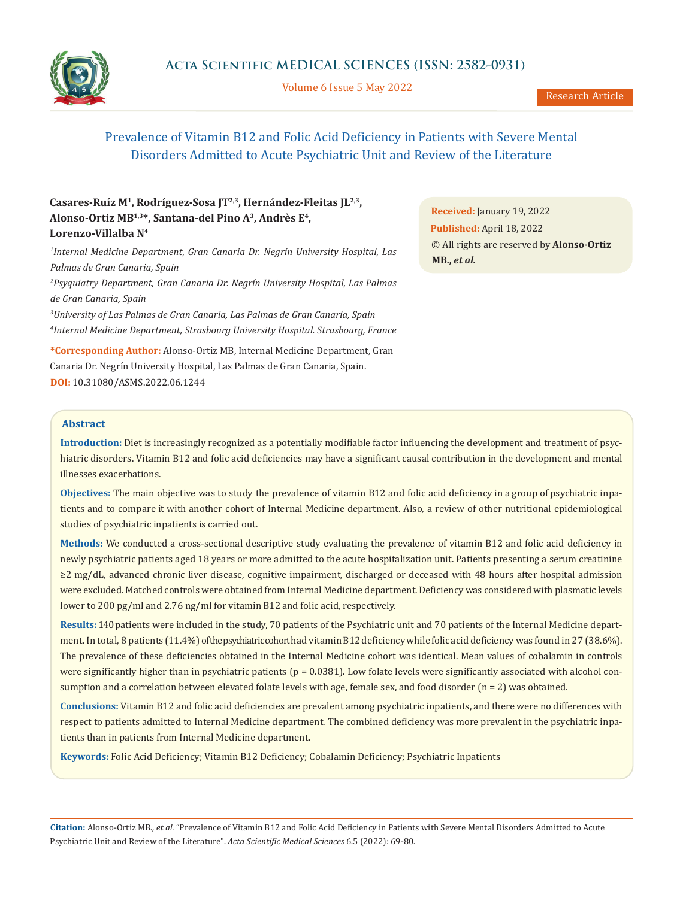

Volume 6 Issue 5 May 2022

# Prevalence of Vitamin B12 and Folic Acid Deficiency in Patients with Severe Mental Disorders Admitted to Acute Psychiatric Unit and Review of the Literature

# **Casares-Ruíz M1, Rodríguez-Sosa JT2,3, Hernández-Fleitas JL2,3, Alonso-Ortiz MB1,3\*, Santana-del Pino A3, Andrès E4, Lorenzo-Villalba N4**

 *Internal Medicine Department, Gran Canaria Dr. Negrín University Hospital, Las Palmas de Gran Canaria, Spain Psyquiatry Department, Gran Canaria Dr. Negrín University Hospital, Las Palmas de Gran Canaria, Spain University of Las Palmas de Gran Canaria, Las Palmas de Gran Canaria, Spain Internal Medicine Department, Strasbourg University Hospital. Strasbourg, France*

**\*Corresponding Author:** Alonso-Ortiz MB, Internal Medicine Department, Gran Canaria Dr. Negrín University Hospital, Las Palmas de Gran Canaria, Spain. **DOI:** [10.31080/ASMS.2022.06.1244](https://actascientific.com/ASMS/pdf/ASMS-06-1244.pdf)

**Received:** January 19, 2022 **Published:** April 18, 2022 © All rights are reserved by **Alonso-Ortiz MB.,** *et al.*

#### **Abstract**

**Introduction:** Diet is increasingly recognized as a potentially modifiable factor influencing the development and treatment of psychiatric disorders. Vitamin B12 and folic acid deficiencies may have a significant causal contribution in the development and mental illnesses exacerbations.

**Objectives:** The main objective was to study the prevalence of vitamin B12 and folic acid deficiency in a group of psychiatric inpatients and to compare it with another cohort of Internal Medicine department. Also, a review of other nutritional epidemiological studies of psychiatric inpatients is carried out.

**Methods:** We conducted a cross-sectional descriptive study evaluating the prevalence of vitamin B12 and folic acid deficiency in newly psychiatric patients aged 18 years or more admitted to the acute hospitalization unit. Patients presenting a serum creatinine ≥2 mg/dL, advanced chronic liver disease, cognitive impairment, discharged or deceased with 48 hours after hospital admission were excluded. Matched controls were obtained from Internal Medicine department. Deficiency was considered with plasmatic levels lower to 200 pg/ml and 2.76 ng/ml for vitamin B12 and folic acid, respectively.

**Results:** 140 patients were included in the study, 70 patients of the Psychiatric unit and 70 patients of the Internal Medicine department. In total, 8 patients (11.4%) of the psychiatric cohort had vitamin B12 deficiency while folic acid deficiency was found in 27 (38.6%). The prevalence of these deficiencies obtained in the Internal Medicine cohort was identical. Mean values of cobalamin in controls were significantly higher than in psychiatric patients ( $p = 0.0381$ ). Low folate levels were significantly associated with alcohol consumption and a correlation between elevated folate levels with age, female sex, and food disorder  $(n = 2)$  was obtained.

**Conclusions:** Vitamin B12 and folic acid deficiencies are prevalent among psychiatric inpatients, and there were no differences with respect to patients admitted to Internal Medicine department. The combined deficiency was more prevalent in the psychiatric inpatients than in patients from Internal Medicine department.

**Keywords:** Folic Acid Deficiency; Vitamin B12 Deficiency; Cobalamin Deficiency; Psychiatric Inpatients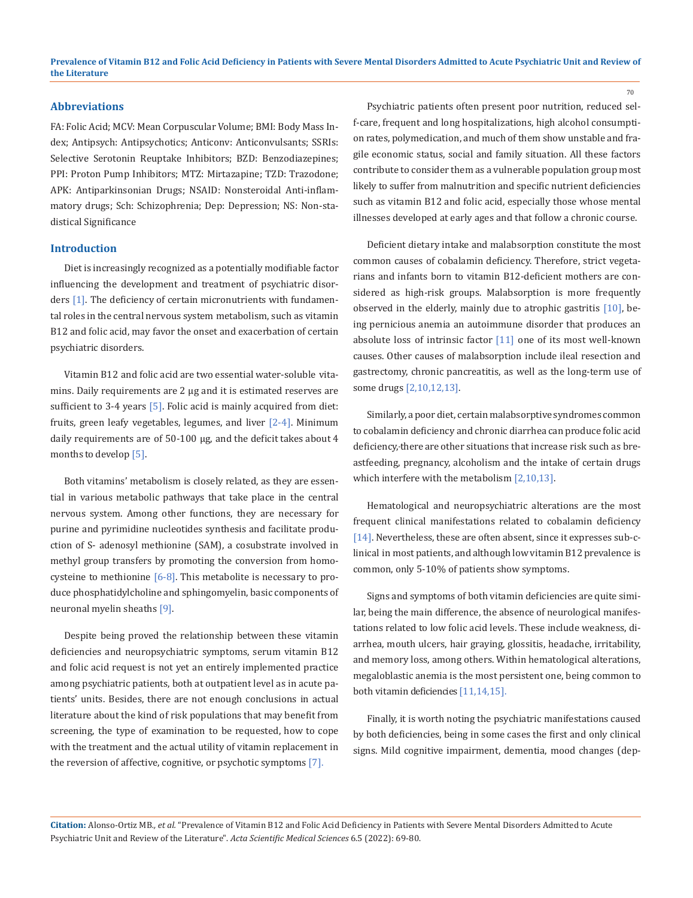#### **Abbreviations**

FA: Folic Acid; MCV: Mean Corpuscular Volume; BMI: Body Mass Index; Antipsych: Antipsychotics; Anticonv: Anticonvulsants; SSRIs: Selective Serotonin Reuptake Inhibitors; BZD: Benzodiazepines; PPI: Proton Pump Inhibitors; MTZ: Mirtazapine; TZD: Trazodone; APK: Antiparkinsonian Drugs; NSAID: Nonsteroidal Anti-inflammatory drugs; Sch: Schizophrenia; Dep: Depression; NS: Non-stadistical Significance

#### **Introduction**

Diet is increasingly recognized as a potentially modifiable factor influencing the development and treatment of psychiatric disorders [1]. The deficiency of certain micronutrients with fundamental roles in the central nervous system metabolism, such as vitamin B12 and folic acid, may favor the onset and exacerbation of certain psychiatric disorders.

Vitamin B12 and folic acid are two essential water-soluble vitamins. Daily requirements are 2 µg and it is estimated reserves are sufficient to 3-4 years  $[5]$ . Folic acid is mainly acquired from diet: fruits, green leafy vegetables, legumes, and liver [2-4]. Minimum daily requirements are of 50-100 µg, and the deficit takes about 4 months to develop [5].

Both vitamins' metabolism is closely related, as they are essential in various metabolic pathways that take place in the central nervous system. Among other functions, they are necessary for purine and pyrimidine nucleotides synthesis and facilitate production of S- adenosyl methionine (SAM), a cosubstrate involved in methyl group transfers by promoting the conversion from homocysteine to methionine  $[6-8]$ . This metabolite is necessary to produce phosphatidylcholine and sphingomyelin, basic components of neuronal myelin sheaths [9].

Despite being proved the relationship between these vitamin deficiencies and neuropsychiatric symptoms, serum vitamin B12 and folic acid request is not yet an entirely implemented practice among psychiatric patients, both at outpatient level as in acute patients' units. Besides, there are not enough conclusions in actual literature about the kind of risk populations that may benefit from screening, the type of examination to be requested, how to cope with the treatment and the actual utility of vitamin replacement in the reversion of affective, cognitive, or psychotic symptoms [7].

Psychiatric patients often present poor nutrition, reduced self-care, frequent and long hospitalizations, high alcohol consumption rates, polymedication, and much of them show unstable and fragile economic status, social and family situation. All these factors contribute to consider them as a vulnerable population group most likely to suffer from malnutrition and specific nutrient deficiencies such as vitamin B12 and folic acid, especially those whose mental illnesses developed at early ages and that follow a chronic course.

Deficient dietary intake and malabsorption constitute the most common causes of cobalamin deficiency. Therefore, strict vegetarians and infants born to vitamin B12-deficient mothers are considered as high-risk groups. Malabsorption is more frequently observed in the elderly, mainly due to atrophic gastritis [10], being pernicious anemia an autoimmune disorder that produces an absolute loss of intrinsic factor [11] one of its most well-known causes. Other causes of malabsorption include ileal resection and gastrectomy, chronic pancreatitis, as well as the long-term use of some drugs [2,10,12,13].

Similarly, a poor diet, certain malabsorptive syndromes common to cobalamin deficiency and chronic diarrhea can produce folic acid deficiency,there are other situations that increase risk such as breastfeeding, pregnancy, alcoholism and the intake of certain drugs which interfere with the metabolism [2,10,13].

Hematological and neuropsychiatric alterations are the most frequent clinical manifestations related to cobalamin deficiency [14]. Nevertheless, these are often absent, since it expresses sub-clinical in most patients, and although low vitamin B12 prevalence is common, only 5-10% of patients show symptoms.

Signs and symptoms of both vitamin deficiencies are quite similar, being the main difference, the absence of neurological manifestations related to low folic acid levels. These include weakness, diarrhea, mouth ulcers, hair graying, glossitis, headache, irritability, and memory loss, among others. Within hematological alterations, megaloblastic anemia is the most persistent one, being common to both vitamin deficiencies [11,14,15].

Finally, it is worth noting the psychiatric manifestations caused by both deficiencies, being in some cases the first and only clinical signs. Mild cognitive impairment, dementia, mood changes (dep-

**Citation:** Alonso-Ortiz MB*., et al.* "Prevalence of Vitamin B12 and Folic Acid Deficiency in Patients with Severe Mental Disorders Admitted to Acute Psychiatric Unit and Review of the Literature". *Acta Scientific Medical Sciences* 6.5 (2022): 69-80.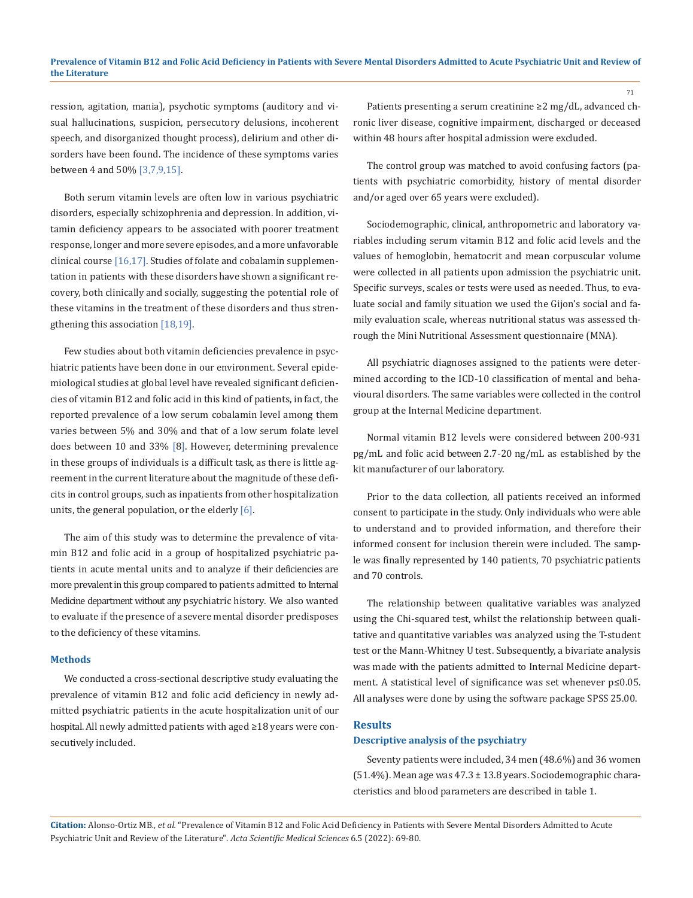ression, agitation, mania), psychotic symptoms (auditory and visual hallucinations, suspicion, persecutory delusions, incoherent speech, and disorganized thought process), delirium and other disorders have been found. The incidence of these symptoms varies between 4 and 50% [3,7,9,15].

Both serum vitamin levels are often low in various psychiatric disorders, especially schizophrenia and depression. In addition, vitamin deficiency appears to be associated with poorer treatment response, longer and more severe episodes, and a more unfavorable clinical course [16,17]. Studies of folate and cobalamin supplementation in patients with these disorders have shown a significant recovery, both clinically and socially, suggesting the potential role of these vitamins in the treatment of these disorders and thus strengthening this association [18,19].

Few studies about both vitamin deficiencies prevalence in psychiatric patients have been done in our environment. Several epidemiological studies at global level have revealed significant deficiencies of vitamin B12 and folic acid in this kind of patients, in fact, the reported prevalence of a low serum cobalamin level among them varies between 5% and 30% and that of a low serum folate level does between 10 and 33% [8]. However, determining prevalence in these groups of individuals is a difficult task, as there is little agreement in the current literature about the magnitude of these deficits in control groups, such as inpatients from other hospitalization units, the general population, or the elderly [6].

The aim of this study was to determine the prevalence of vitamin B12 and folic acid in a group of hospitalized psychiatric patients in acute mental units and to analyze if their deficiencies are more prevalent in this group compared to patients admitted to Internal Medicine department without any psychiatric history. We also wanted to evaluate if the presence of a severe mental disorder predisposes to the deficiency of these vitamins.

#### **Methods**

We conducted a cross-sectional descriptive study evaluating the prevalence of vitamin B12 and folic acid deficiency in newly admitted psychiatric patients in the acute hospitalization unit of our hospital. All newly admitted patients with aged ≥18 years were consecutively included.

Patients presenting a serum creatinine ≥2 mg/dL, advanced chronic liver disease, cognitive impairment, discharged or deceased within 48 hours after hospital admission were excluded.

The control group was matched to avoid confusing factors (patients with psychiatric comorbidity, history of mental disorder and/or aged over 65 years were excluded).

Sociodemographic, clinical, anthropometric and laboratory variables including serum vitamin B12 and folic acid levels and the values of hemoglobin, hematocrit and mean corpuscular volume were collected in all patients upon admission the psychiatric unit. Specific surveys, scales or tests were used as needed. Thus, to evaluate social and family situation we used the Gijon's social and family evaluation scale, whereas nutritional status was assessed through the Mini Nutritional Assessment questionnaire (MNA).

All psychiatric diagnoses assigned to the patients were determined according to the ICD-10 classification of mental and behavioural disorders. The same variables were collected in the control group at the Internal Medicine department.

Normal vitamin B12 levels were considered between 200-931 pg/mL and folic acid between 2.7-20 ng/mL as established by the kit manufacturer of our laboratory.

Prior to the data collection, all patients received an informed consent to participate in the study. Only individuals who were able to understand and to provided information, and therefore their informed consent for inclusion therein were included. The sample was finally represented by 140 patients, 70 psychiatric patients and 70 controls.

The relationship between qualitative variables was analyzed using the Chi-squared test, whilst the relationship between qualitative and quantitative variables was analyzed using the T-student test or the Mann-Whitney U test. Subsequently, a bivariate analysis was made with the patients admitted to Internal Medicine department. A statistical level of significance was set whenever p≤0.05. All analyses were done by using the software package SPSS 25.00.

#### **Results**

#### **Descriptive analysis of the psychiatry**

Seventy patients were included, 34 men (48.6%) and 36 women (51.4%). Mean age was 47.3 ± 13.8 years. Sociodemographic characteristics and blood parameters are described in table 1.

**Citation:** Alonso-Ortiz MB*., et al.* "Prevalence of Vitamin B12 and Folic Acid Deficiency in Patients with Severe Mental Disorders Admitted to Acute Psychiatric Unit and Review of the Literature". *Acta Scientific Medical Sciences* 6.5 (2022): 69-80.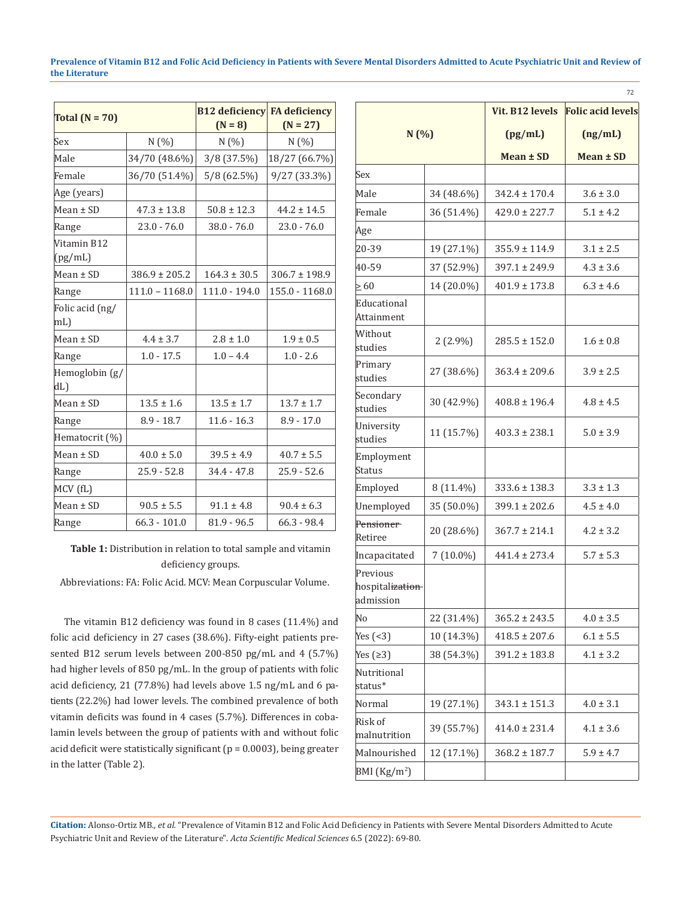| Total $(N = 70)$       |                   | <b>B12 deficiency FA deficiency</b><br>$(N = 8)$ | $(N = 27)$        |
|------------------------|-------------------|--------------------------------------------------|-------------------|
| Sex                    | N(%)              | N(% )                                            | N(%)              |
| Male                   | 34/70 (48.6%)     | $3/8$ (37.5%)                                    | 18/27 (66.7%)     |
| Female                 | 36/70 (51.4%)     | 5/8 (62.5%)                                      | 9/27 (33.3%)      |
| Age (years)            |                   |                                                  |                   |
| $Mean \pm SD$          | $47.3 \pm 13.8$   | $50.8 \pm 12.3$                                  | $44.2 \pm 14.5$   |
| Range                  | $23.0 - 76.0$     | $38.0 - 76.0$                                    | $23.0 - 76.0$     |
| Vitamin B12<br>(pg/mL) |                   |                                                  |                   |
| $Mean \pm SD$          | $386.9 \pm 205.2$ | $164.3 \pm 30.5$                                 | $306.7 \pm 198.9$ |
| Range                  | $111.0 - 1168.0$  | $111.0 - 194.0$                                  | 155.0 - 1168.0    |
| Folic acid (ng/<br>mL) |                   |                                                  |                   |
| $Mean \pm SD$          | $4.4 \pm 3.7$     | $2.8 \pm 1.0$                                    | $1.9 \pm 0.5$     |
| Range                  | $1.0 - 17.5$      | $1.0 - 4.4$                                      | $1.0 - 2.6$       |
| Hemoglobin (g/<br>dL   |                   |                                                  |                   |
| $Mean \pm SD$          | $13.5 \pm 1.6$    | $13.5 \pm 1.7$                                   | $13.7 \pm 1.7$    |
| Range                  | $8.9 - 18.7$      | $11.6 - 16.3$                                    | $8.9 - 17.0$      |
| Hematocrit (%)         |                   |                                                  |                   |
| $Mean \pm SD$          | $40.0 \pm 5.0$    | $39.5 \pm 4.9$                                   | $40.7 \pm 5.5$    |
| Range                  | $25.9 - 52.8$     | $34.4 - 47.8$                                    | $25.9 - 52.6$     |
| MCV (fL)               |                   |                                                  |                   |
| $Mean \pm SD$          | $90.5 \pm 5.5$    | $91.1 \pm 4.8$                                   | $90.4 \pm 6.3$    |
| Range                  | $66.3 - 101.0$    | $81.9 - 96.5$                                    | $66.3 - 98.4$     |

**Table 1:** Distribution in relation to total sample and vitamin deficiency groups.

Abbreviations: FA: Folic Acid. MCV: Mean Corpuscular Volume.

The vitamin B12 deficiency was found in 8 cases (11.4%) and folic acid deficiency in 27 cases (38.6%). Fifty-eight patients presented B12 serum levels between 200-850 pg/mL and 4 (5.7%) had higher levels of 850 pg/mL. In the group of patients with folic acid deficiency, 21 (77.8%) had levels above 1.5 ng/mL and 6 patients (22.2%) had lower levels. The combined prevalence of both vitamin deficits was found in 4 cases (5.7%). Differences in cobalamin levels between the group of patients with and without folic acid deficit were statistically significant ( $p = 0.0003$ ), being greater in the latter (Table 2).

|                                          |             | Vit. B12 levels   | <b>Folic acid levels</b> |
|------------------------------------------|-------------|-------------------|--------------------------|
| N(%)                                     |             | (pg/mL)           | (ng/mL)                  |
|                                          |             |                   |                          |
|                                          |             | Mean ± SD         | Mean ± SD                |
| Sex                                      |             |                   |                          |
| Male                                     | 34 (48.6%)  | $342.4 \pm 170.4$ | $3.6 \pm 3.0$            |
| Female                                   | 36 (51.4%)  | $429.0 \pm 227.7$ | $5.1 \pm 4.2$            |
| Age                                      |             |                   |                          |
| 20-39                                    | 19 (27.1%)  | $355.9 \pm 114.9$ | $3.1 \pm 2.5$            |
| 40-59                                    | 37 (52.9%)  | $397.1 \pm 249.9$ | $4.3 \pm 3.6$            |
| $\geq 60$                                | 14 (20.0%)  | $401.9 \pm 173.8$ | $6.3 \pm 4.6$            |
| Educational<br>Attainment                |             |                   |                          |
| Without<br>studies                       | $2(2.9\%)$  | $285.5 \pm 152.0$ | $1.6 \pm 0.8$            |
| Primary<br>studies                       | 27 (38.6%)  | $363.4 \pm 209.6$ | $3.9 \pm 2.5$            |
| Secondary<br>studies                     | 30 (42.9%)  | $408.8 \pm 196.4$ | $4.8 \pm 4.5$            |
| University<br>studies                    | 11 (15.7%)  | $403.3 \pm 238.1$ | $5.0 \pm 3.9$            |
| Employment<br>Status                     |             |                   |                          |
| Employed                                 | 8 (11.4%)   | $333.6 \pm 138.3$ | $3.3 \pm 1.3$            |
| Unemployed                               | 35 (50.0%)  | $399.1 \pm 202.6$ | $4.5 \pm 4.0$            |
| Pensioner<br>Retiree                     | 20 (28.6%)  | $367.7 \pm 214.1$ | $4.2 \pm 3.2$            |
| Incapacitated                            | $7(10.0\%)$ | $441.4 \pm 273.4$ | $5.7 \pm 5.3$            |
| Previous<br>hospitalization<br>admission |             |                   |                          |
| No                                       | 22 (31.4%)  | $365.2 \pm 243.5$ | $4.0 \pm 3.5$            |
| Yes $($ 3)                               | 10 (14.3%)  | $418.5 \pm 207.6$ | $6.1 \pm 5.5$            |
| Yes $( \geq 3)$                          | 38 (54.3%)  | $391.2 \pm 183.8$ | $4.1 \pm 3.2$            |
| Nutritional<br>status*                   |             |                   |                          |
| Normal                                   | 19 (27.1%)  | $343.1 \pm 151.3$ | $4.0 \pm 3.1$            |
| Risk of<br>malnutrition                  | 39 (55.7%)  | $414.0 \pm 231.4$ | $4.1 \pm 3.6$            |
| Malnourished                             | 12 (17.1%)  | $368.2 \pm 187.7$ | $5.9 \pm 4.7$            |
| BMI $(Kg/m2)$                            |             |                   |                          |

72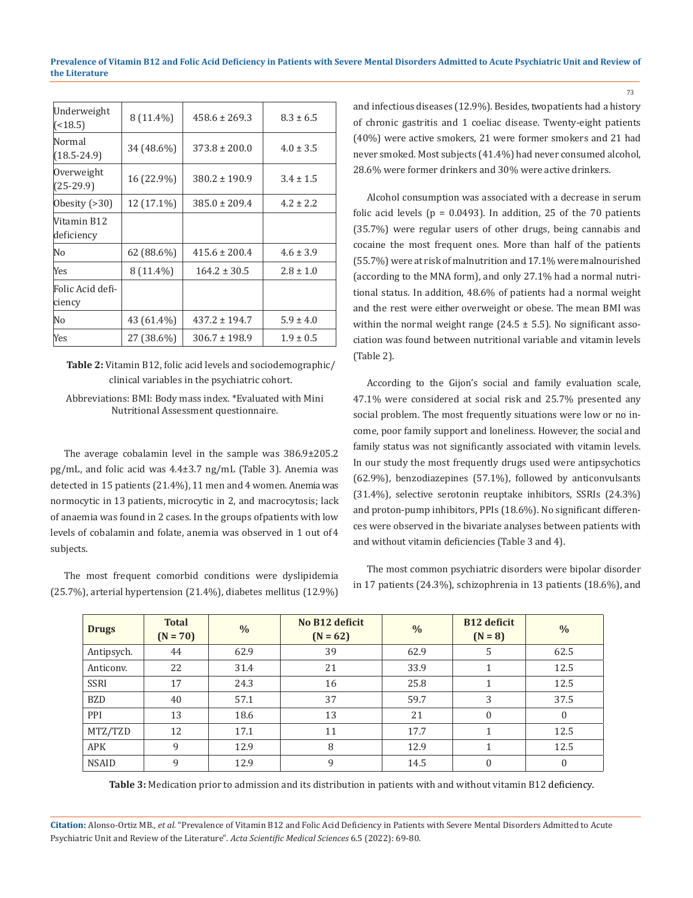| 8 (11.4%)  | $458.6 \pm 269.3$ | $8.3 \pm 6.5$ |
|------------|-------------------|---------------|
| 34 (48.6%) | $373.8 \pm 200.0$ | $4.0 \pm 3.5$ |
| 16 (22.9%) | $380.2 \pm 190.9$ | $3.4 \pm 1.5$ |
| 12 (17.1%) | $385.0 \pm 209.4$ | $4.2 \pm 2.2$ |
|            |                   |               |
| 62 (88.6%) | $415.6 \pm 200.4$ | $4.6 \pm 3.9$ |
| 8 (11.4%)  | $164.2 \pm 30.5$  | $2.8 \pm 1.0$ |
|            |                   |               |
| 43 (61.4%) | $437.2 \pm 194.7$ | $5.9 \pm 4.0$ |
| 27 (38.6%) | $306.7 \pm 198.9$ | $1.9 \pm 0.5$ |
|            |                   |               |

**Table 2:** Vitamin B12, folic acid levels and sociodemographic/ clinical variables in the psychiatric cohort.

#### Abbreviations: BMI: Body mass index. \*Evaluated with Mini Nutritional Assessment questionnaire.

The average cobalamin level in the sample was 386.9±205.2 pg/mL, and folic acid was 4.4±3.7 ng/mL (Table 3). Anemia was detected in 15 patients (21.4%), 11 men and 4 women. Anemia was normocytic in 13 patients, microcytic in 2, and macrocytosis; lack of anaemia was found in 2 cases. In the groups of patients with low levels of cobalamin and folate, anemia was observed in 1 out of 4 subjects.

The most frequent comorbid conditions were dyslipidemia (25.7%), arterial hypertension (21.4%), diabetes mellitus (12.9%) and infectious diseases (12.9%). Besides, two patients had a history of chronic gastritis and 1 coeliac disease. Twenty-eight patients (40%) were active smokers, 21 were former smokers and 21 had never smoked. Most subjects (41.4%) had never consumed alcohol, 28.6% were former drinkers and 30% were active drinkers.

Alcohol consumption was associated with a decrease in serum folic acid levels ( $p = 0.0493$ ). In addition, 25 of the 70 patients (35.7%) were regular users of other drugs, being cannabis and cocaine the most frequent ones. More than half of the patients (55.7%) were at risk of malnutrition and 17.1% were malnourished (according to the MNA form), and only 27.1% had a normal nutritional status. In addition, 48.6% of patients had a normal weight and the rest were either overweight or obese. The mean BMI was within the normal weight range (24.5  $\pm$  5.5). No significant association was found between nutritional variable and vitamin levels (Table 2).

According to the Gijon's social and family evaluation scale, 47.1% were considered at social risk and 25.7% presented any social problem. The most frequently situations were low or no income, poor family support and loneliness. However, the social and family status was not significantly associated with vitamin levels. In our study the most frequently drugs used were antipsychotics (62.9%), benzodiazepines (57.1%), followed by anticonvulsants (31.4%), selective serotonin reuptake inhibitors, SSRIs (24.3%) and proton-pump inhibitors, PPIs (18.6%). No significant differences were observed in the bivariate analyses between patients with and without vitamin deficiencies (Table 3 and 4).

The most common psychiatric disorders were bipolar disorder in 17 patients (24.3%), schizophrenia in 13 patients (18.6%), and

| <b>Drugs</b> | <b>Total</b><br>$(N = 70)$ | $\frac{0}{0}$ | No B12 deficit<br>$(N = 62)$ | $\%$ | <b>B12</b> deficit<br>$(N = 8)$ | $\%$     |
|--------------|----------------------------|---------------|------------------------------|------|---------------------------------|----------|
| Antipsych.   | 44                         | 62.9          | 39                           | 62.9 | 5                               | 62.5     |
| Anticonv.    | 22                         | 31.4          | 21                           | 33.9 |                                 | 12.5     |
| <b>SSRI</b>  | 17                         | 24.3          | 16                           | 25.8 |                                 | 12.5     |
| <b>BZD</b>   | 40                         | 57.1          | 37                           | 59.7 | 3                               | 37.5     |
| PPI          | 13                         | 18.6          | 13                           | 21   | $\mathbf{0}$                    | $\Omega$ |
| MTZ/TZD      | 12                         | 17.1          | 11                           | 17.7 |                                 | 12.5     |
| <b>APK</b>   | 9                          | 12.9          | 8                            | 12.9 |                                 | 12.5     |
| <b>NSAID</b> | a                          | 12.9          | 9                            | 14.5 | 0                               | $\Omega$ |

**Table 3:** Medication prior to admission and its distribution in patients with and without vitamin B12 deficiency.

**Citation:** Alonso-Ortiz MB*., et al.* "Prevalence of Vitamin B12 and Folic Acid Deficiency in Patients with Severe Mental Disorders Admitted to Acute Psychiatric Unit and Review of the Literature". *Acta Scientific Medical Sciences* 6.5 (2022): 69-80.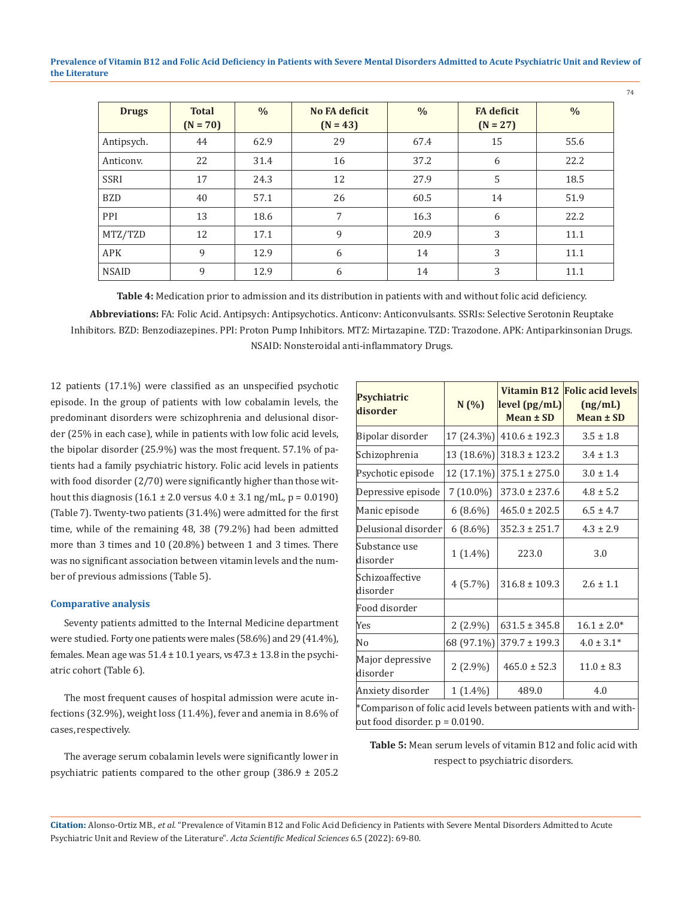| <b>Drugs</b> | <b>Total</b><br>$(N = 70)$ | $\frac{0}{0}$ | <b>No FA deficit</b><br>$(N = 43)$ | $\frac{0}{0}$ | <b>FA</b> deficit<br>$(N = 27)$ | $\frac{0}{0}$ |
|--------------|----------------------------|---------------|------------------------------------|---------------|---------------------------------|---------------|
| Antipsych.   | 44                         | 62.9          | 29                                 | 67.4          | 15                              | 55.6          |
| Anticonv.    | 22                         | 31.4          | 16                                 | 37.2          | 6                               | 22.2          |
| <b>SSRI</b>  | 17                         | 24.3          | 12                                 | 27.9          | 5                               | 18.5          |
| <b>BZD</b>   | 40                         | 57.1          | 26                                 | 60.5          | 14                              | 51.9          |
| PPI          | 13                         | 18.6          | 7                                  | 16.3          | 6                               | 22.2          |
| MTZ/TZD      | 12                         | 17.1          | 9                                  | 20.9          | 3                               | 11.1          |
| <b>APK</b>   | 9                          | 12.9          | 6                                  | 14            | 3                               | 11.1          |
| <b>NSAID</b> | 9                          | 12.9          | 6                                  | 14            | 3                               | 11.1          |

**Table 4:** Medication prior to admission and its distribution in patients with and without folic acid deficiency. **Abbreviations:** FA: Folic Acid. Antipsych: Antipsychotics. Anticonv: Anticonvulsants. SSRIs: Selective Serotonin Reuptake Inhibitors. BZD: Benzodiazepines. PPI: Proton Pump Inhibitors. MTZ: Mirtazapine. TZD: Trazodone. APK: Antiparkinsonian Drugs. NSAID: Nonsteroidal anti-inflammatory Drugs.

12 patients (17.1%) were classified as an unspecified psychotic episode. In the group of patients with low cobalamin levels, the predominant disorders were schizophrenia and delusional disorder (25% in each case), while in patients with low folic acid levels, the bipolar disorder (25.9%) was the most frequent. 57.1% of patients had a family psychiatric history. Folic acid levels in patients with food disorder (2/70) were significantly higher than those without this diagnosis  $(16.1 \pm 2.0 \text{ versus } 4.0 \pm 3.1 \text{ ng/mL}, p = 0.0190)$ (Table 7). Twenty-two patients (31.4%) were admitted for the first time, while of the remaining 48, 38 (79.2%) had been admitted more than 3 times and 10 (20.8%) between 1 and 3 times. There was no significant association between vitamin levels and the number of previous admissions (Table 5).

#### **Comparative analysis**

Seventy patients admitted to the Internal Medicine department were studied. Forty one patients were males (58.6%) and 29 (41.4%), females. Mean age was  $51.4 \pm 10.1$  years, vs  $47.3 \pm 13.8$  in the psychiatric cohort (Table 6).

The most frequent causes of hospital admission were acute infections (32.9%), weight loss (11.4%), fever and anemia in 8.6% of cases, respectively.

The average serum cobalamin levels were significantly lower in psychiatric patients compared to the other group  $(386.9 \pm 205.2)$ 

| Psychiatric<br>disorder                                                                               | N(%)        | level (pg/mL)<br>$Mean \pm SD$ | Vitamin B12 Folic acid levels<br>(ng/mL)<br>Mean ± SD |  |  |  |
|-------------------------------------------------------------------------------------------------------|-------------|--------------------------------|-------------------------------------------------------|--|--|--|
| Bipolar disorder                                                                                      | 17 (24.3%)  | $410.6 \pm 192.3$              | $3.5 \pm 1.8$                                         |  |  |  |
| Schizophrenia                                                                                         | 13 (18.6%)  | $318.3 \pm 123.2$              | $3.4 \pm 1.3$                                         |  |  |  |
| Psychotic episode                                                                                     | 12 (17.1%)  | $375.1 \pm 275.0$              | $3.0 \pm 1.4$                                         |  |  |  |
| Depressive episode                                                                                    | $7(10.0\%)$ | $373.0 \pm 237.6$              | $4.8 \pm 5.2$                                         |  |  |  |
| Manic episode                                                                                         | $6(8.6\%)$  | $465.0 \pm 202.5$              | $6.5 \pm 4.7$                                         |  |  |  |
| Delusional disorder                                                                                   | $6(8.6\%)$  | $352.3 \pm 251.7$              | $4.3 \pm 2.9$                                         |  |  |  |
| Substance use<br>disorder                                                                             | $1(1.4\%)$  | 223.0                          | 3.0                                                   |  |  |  |
| Schizoaffective<br>disorder                                                                           | $4(5.7\%)$  | $316.8 \pm 109.3$              | $2.6 \pm 1.1$                                         |  |  |  |
| Food disorder                                                                                         |             |                                |                                                       |  |  |  |
| Yes                                                                                                   | $2(2.9\%)$  | $631.5 \pm 345.8$              | $16.1 \pm 2.0*$                                       |  |  |  |
| No                                                                                                    | 68 (97.1%)  | $379.7 \pm 199.3$              | $4.0 \pm 3.1^{*}$                                     |  |  |  |
| Major depressive<br>disorder                                                                          | $2(2.9\%)$  | $465.0 \pm 52.3$               | $11.0 \pm 8.3$                                        |  |  |  |
| Anxiety disorder                                                                                      | $1(1.4\%)$  | 489.0                          | 4.0                                                   |  |  |  |
| *Comparison of folic acid levels between patients with and with-<br>out food disorder. $p = 0.0190$ . |             |                                |                                                       |  |  |  |

**Table 5:** Mean serum levels of vitamin B12 and folic acid with respect to psychiatric disorders.

**Citation:** Alonso-Ortiz MB*., et al.* "Prevalence of Vitamin B12 and Folic Acid Deficiency in Patients with Severe Mental Disorders Admitted to Acute Psychiatric Unit and Review of the Literature". *Acta Scientific Medical Sciences* 6.5 (2022): 69-80.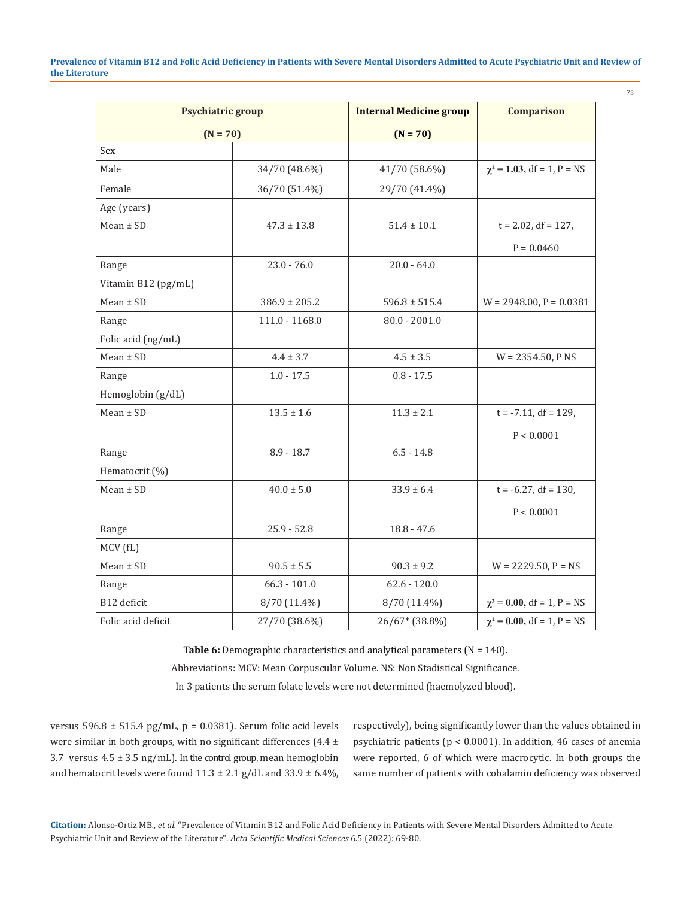| <b>Psychiatric group</b> |                   | <b>Internal Medicine group</b> | <b>Comparison</b>               |
|--------------------------|-------------------|--------------------------------|---------------------------------|
| $(N = 70)$               |                   | $(N = 70)$                     |                                 |
| Sex                      |                   |                                |                                 |
| Male                     | 34/70 (48.6%)     | 41/70 (58.6%)                  | $\chi^2$ = 1.03, df = 1, P = NS |
| Female                   | 36/70 (51.4%)     | 29/70 (41.4%)                  |                                 |
| Age (years)              |                   |                                |                                 |
| $Mean \pm SD$            | $47.3 \pm 13.8$   | $51.4 \pm 10.1$                | $t = 2.02$ , df = 127,          |
|                          |                   |                                | $P = 0.0460$                    |
| Range                    | $23.0 - 76.0$     | $20.0 - 64.0$                  |                                 |
| Vitamin B12 (pg/mL)      |                   |                                |                                 |
| $Mean \pm SD$            | $386.9 \pm 205.2$ | $596.8 \pm 515.4$              | $W = 2948.00$ , $P = 0.0381$    |
| Range                    | 111.0 - 1168.0    | $80.0 - 2001.0$                |                                 |
| Folic acid (ng/mL)       |                   |                                |                                 |
| $Mean \pm SD$            | $4.4 \pm 3.7$     | $4.5 \pm 3.5$                  | $W = 2354.50$ , P NS            |
| Range                    | $1.0 - 17.5$      | $0.8 - 17.5$                   |                                 |
| Hemoglobin (g/dL)        |                   |                                |                                 |
| $Mean \pm SD$            | $13.5 \pm 1.6$    | $11.3 \pm 2.1$                 | $t = -7.11$ , df = 129,         |
|                          |                   |                                | P < 0.0001                      |
| Range                    | $8.9 - 18.7$      | $6.5 - 14.8$                   |                                 |
| Hematocrit (%)           |                   |                                |                                 |
| $Mean \pm SD$            | $40.0 \pm 5.0$    | $33.9 \pm 6.4$                 | $t = -6.27$ , df = 130,         |
|                          |                   |                                | P < 0.0001                      |
| Range                    | $25.9 - 52.8$     | $18.8 - 47.6$                  |                                 |
| MCV (fL)                 |                   |                                |                                 |
| $Mean \pm SD$            | $90.5 \pm 5.5$    | $90.3 \pm 9.2$                 | $W = 2229.50, P = NS$           |
| Range                    | $66.3 - 101.0$    | $62.6 - 120.0$                 |                                 |
| B12 deficit              | 8/70 (11.4%)      | 8/70 (11.4%)                   | $\chi^2$ = 0.00, df = 1, P = NS |
| Folic acid deficit       | 27/70 (38.6%)     | 26/67* (38.8%)                 | $\chi^2$ = 0.00, df = 1, P = NS |

Table 6: Demographic characteristics and analytical parameters (N = 140). Abbreviations: MCV: Mean Corpuscular Volume. NS: Non Stadistical Significance. In 3 patients the serum folate levels were not determined (haemolyzed blood).

versus 596.8 ± 515.4 pg/mL, p = 0.0381). Serum folic acid levels were similar in both groups, with no significant differences  $(4.4 \pm$ 3.7 versus  $4.5 \pm 3.5$  ng/mL). In the control group, mean hemoglobin and hematocrit levels were found  $11.3 \pm 2.1$  g/dL and  $33.9 \pm 6.4\%$ , respectively), being significantly lower than the values obtained in psychiatric patients (p < 0.0001). In addition, 46 cases of anemia were reported, 6 of which were macrocytic. In both groups the same number of patients with cobalamin deficiency was observed

**Citation:** Alonso-Ortiz MB*., et al.* "Prevalence of Vitamin B12 and Folic Acid Deficiency in Patients with Severe Mental Disorders Admitted to Acute Psychiatric Unit and Review of the Literature". *Acta Scientific Medical Sciences* 6.5 (2022): 69-80.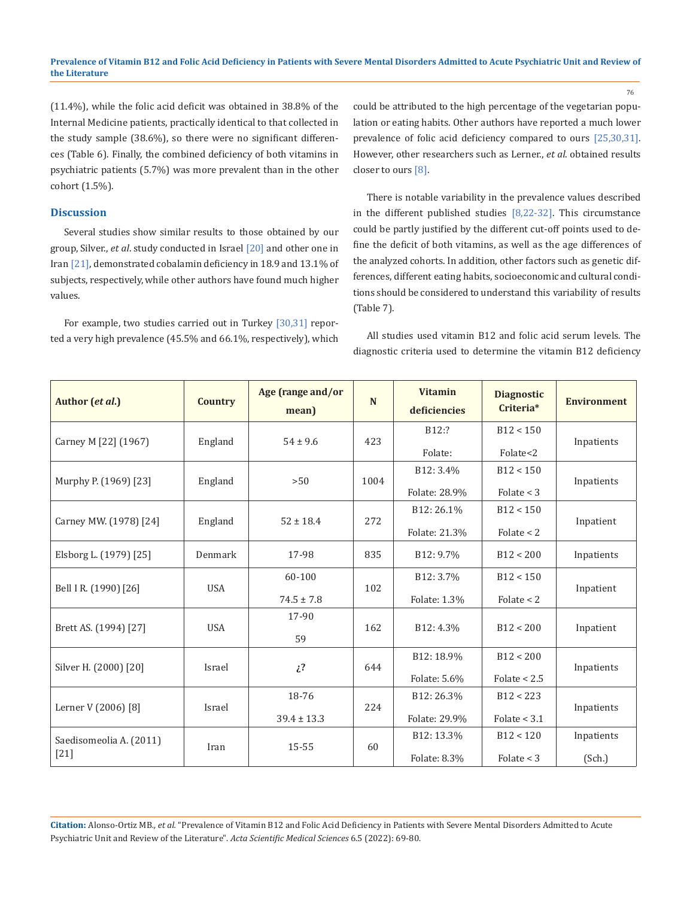76

(11.4%), while the folic acid deficit was obtained in 38.8% of the Internal Medicine patients, practically identical to that collected in the study sample (38.6%), so there were no significant differences (Table 6). Finally, the combined deficiency of both vitamins in psychiatric patients (5.7%) was more prevalent than in the other cohort (1.5%).

## **Discussion**

Several studies show similar results to those obtained by our group, Silver., *et al*. study conducted in Israel [20] and other one in Iran [21], demonstrated cobalamin deficiency in 18.9 and 13.1% of subjects, respectively, while other authors have found much higher values.

For example, two studies carried out in Turkey [30,31] reported a very high prevalence (45.5% and 66.1%, respectively), which could be attributed to the high percentage of the vegetarian population or eating habits. Other authors have reported a much lower prevalence of folic acid deficiency compared to ours [25,30,31]. However, other researchers such as Lerner., *et al*. obtained results closer to ours [8].

There is notable variability in the prevalence values described in the different published studies  $[8,22-32]$ . This circumstance could be partly justified by the different cut-off points used to define the deficit of both vitamins, as well as the age differences of the analyzed cohorts. In addition, other factors such as genetic differences, different eating habits, socioeconomic and cultural conditions should be considered to understand this variability of results (Table 7).

All studies used vitamin B12 and folic acid serum levels. The diagnostic criteria used to determine the vitamin B12 deficiency

| Author (et al.)         | <b>Country</b>           | Age (range and/or<br>mean) | N             | <b>Vitamin</b><br>deficiencies | <b>Diagnostic</b><br>Criteria* | <b>Environment</b> |
|-------------------------|--------------------------|----------------------------|---------------|--------------------------------|--------------------------------|--------------------|
| Carney M [22] (1967)    | England                  | $54 \pm 9.6$               | 423           | B <sub>12:</sub> ?             | B12 < 150                      | Inpatients         |
|                         |                          |                            |               | Folate:                        | Folate<2                       |                    |
|                         |                          |                            |               | B12: 3.4%                      | B12 < 150                      |                    |
| Murphy P. (1969) [23]   | England                  | >50                        | 1004          | Folate: 28.9%                  | Folate $<$ 3                   | Inpatients         |
|                         |                          |                            |               | B12:26.1%                      | B12 < 150                      |                    |
| Carney MW. (1978) [24]  | England<br>$52 \pm 18.4$ | 272                        | Folate: 21.3% | Folate $<$ 2                   | Inpatient                      |                    |
| Elsborg L. (1979) [25]  | Denmark                  | 17-98                      | 835           | B12: 9.7%                      | B12 < 200                      | Inpatients         |
|                         |                          | 60-100                     |               | B12: 3.7%                      | B12 < 150                      |                    |
| Bell I R. (1990) [26]   | <b>USA</b>               | $74.5 \pm 7.8$             | 102           | Folate: 1.3%                   | Folate $<$ 2                   | Inpatient          |
|                         |                          | 17-90                      |               |                                |                                |                    |
| Brett AS. (1994) [27]   | <b>USA</b>               | 59                         | 162           | B12: 4.3%                      | B12 < 200                      | Inpatient          |
|                         |                          |                            |               | B12: 18.9%                     | B12 < 200                      |                    |
| Silver H. (2000) [20]   | Israel                   | $\mathcal{L}^2$            | 644           | Folate: 5.6%                   | Folate $< 2.5$                 | Inpatients         |
|                         |                          | 18-76                      |               | B12:26.3%                      | B12 < 223                      |                    |
| Lerner V (2006) [8]     | Israel                   | $39.4 \pm 13.3$            | 224           | Folate: 29.9%                  | Folate $<$ 3.1                 | Inpatients         |
| Saedisomeolia A. (2011) |                          |                            |               | B12: 13.3%                     | B12 < 120                      | Inpatients         |
| $[21]$                  | Iran                     | 15-55                      | 60            | Folate: 8.3%                   | Folate $<$ 3                   | (Sch.)             |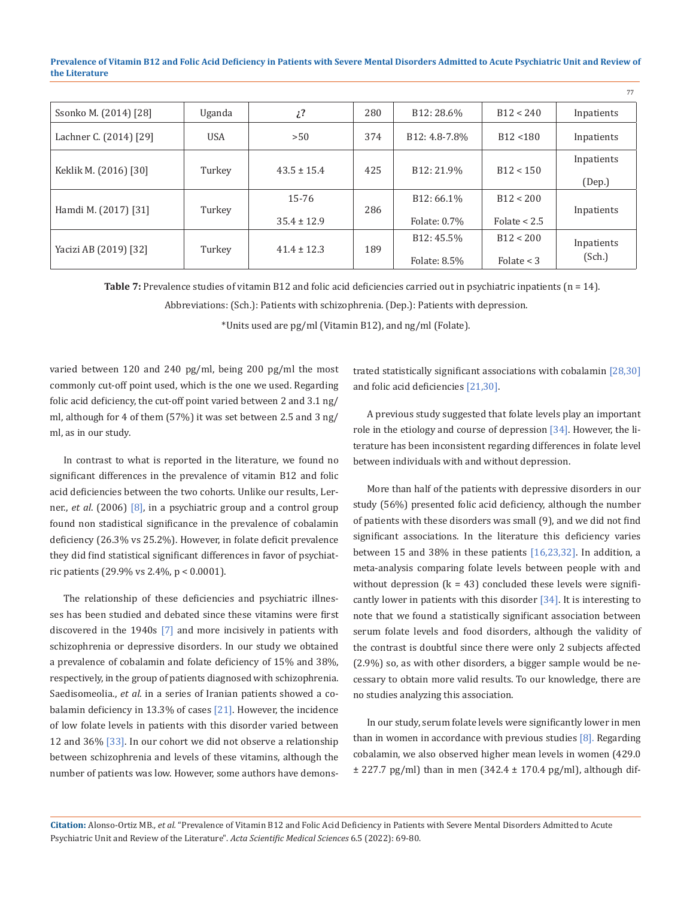| Ssonko M. (2014) [28]  | Uganda                    | $\mathcal{L}^2$ | 280 | B12:28.6%                  | B12 < 240      | Inpatients |
|------------------------|---------------------------|-----------------|-----|----------------------------|----------------|------------|
| Lachner C. (2014) [29] | <b>USA</b>                | >50             | 374 | B <sub>12</sub> : 4.8-7.8% | B12 < 180      | Inpatients |
| Keklik M. (2016) [30]  | $43.5 \pm 15.4$<br>Turkey |                 | 425 | B12: 21.9%                 | B12 < 150      | Inpatients |
|                        |                           |                 |     |                            |                | (Dep.)     |
|                        |                           | $15 - 76$       |     | B12:66.1%                  | B12 < 200      |            |
| Hamdi M. (2017) [31]   | Turkey                    | $35.4 \pm 12.9$ | 286 | Folate: 0.7%               | Folate $< 2.5$ | Inpatients |
|                        |                           |                 |     | B12: 45.5%                 | B12 < 200      | Inpatients |
| Yacizi AB (2019) [32]  | Turkey                    | $41.4 \pm 12.3$ | 189 | Folate: 8.5%               | Folate $<$ 3   | (Sch.)     |

**Table 7:** Prevalence studies of vitamin B12 and folic acid deficiencies carried out in psychiatric inpatients (n = 14).

Abbreviations: (Sch.): Patients with schizophrenia. (Dep.): Patients with depression.

\*Units used are pg/ml (Vitamin B12), and ng/ml (Folate).

varied between 120 and 240 pg/ml, being 200 pg/ml the most commonly cut-off point used, which is the one we used. Regarding folic acid deficiency, the cut-off point varied between 2 and 3.1 ng/ ml, although for 4 of them (57%) it was set between 2.5 and 3 ng/ ml, as in our study.

In contrast to what is reported in the literature, we found no significant differences in the prevalence of vitamin B12 and folic acid deficiencies between the two cohorts. Unlike our results, Lerner., *et al*. (2006) [8], in a psychiatric group and a control group found non stadistical significance in the prevalence of cobalamin deficiency (26.3% vs 25.2%). However, in folate deficit prevalence they did find statistical significant differences in favor of psychiatric patients (29.9% vs 2.4%, p < 0.0001).

The relationship of these deficiencies and psychiatric illnesses has been studied and debated since these vitamins were first discovered in the 1940s [7] and more incisively in patients with schizophrenia or depressive disorders. In our study we obtained a prevalence of cobalamin and folate deficiency of 15% and 38%, respectively, in the group of patients diagnosed with schizophrenia. Saedisomeolia., *et al*. in a series of Iranian patients showed a cobalamin deficiency in 13.3% of cases [21]. However, the incidence of low folate levels in patients with this disorder varied between 12 and 36% [33]. In our cohort we did not observe a relationship between schizophrenia and levels of these vitamins, although the number of patients was low. However, some authors have demonstrated statistically significant associations with cobalamin [28,30] and folic acid deficiencies [21,30].

77

A previous study suggested that folate levels play an important role in the etiology and course of depression [34]. However, the literature has been inconsistent regarding differences in folate level between individuals with and without depression.

More than half of the patients with depressive disorders in our study (56%) presented folic acid deficiency, although the number of patients with these disorders was small (9), and we did not find significant associations. In the literature this deficiency varies between 15 and 38% in these patients [16,23,32]. In addition, a meta-analysis comparing folate levels between people with and without depression  $(k = 43)$  concluded these levels were significantly lower in patients with this disorder [34]. It is interesting to note that we found a statistically significant association between serum folate levels and food disorders, although the validity of the contrast is doubtful since there were only 2 subjects affected (2.9%) so, as with other disorders, a bigger sample would be necessary to obtain more valid results. To our knowledge, there are no studies analyzing this association.

In our study, serum folate levels were significantly lower in men than in women in accordance with previous studies  $[8]$ . Regarding cobalamin, we also observed higher mean levels in women (429.0  $\pm$  227.7 pg/ml) than in men (342.4  $\pm$  170.4 pg/ml), although dif-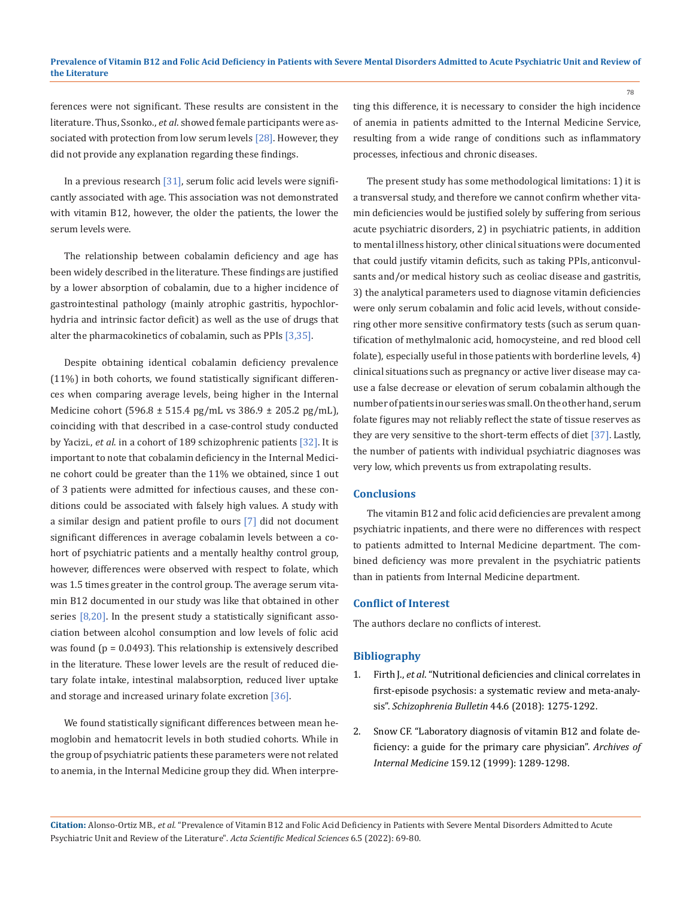ferences were not significant. These results are consistent in the literature. Thus, Ssonko., *et al*. showed female participants were associated with protection from low serum levels [28]. However, they did not provide any explanation regarding these findings.

In a previous research [31], serum folic acid levels were significantly associated with age. This association was not demonstrated with vitamin B12, however, the older the patients, the lower the serum levels were.

The relationship between cobalamin deficiency and age has been widely described in the literature. These findings are justified by a lower absorption of cobalamin, due to a higher incidence of gastrointestinal pathology (mainly atrophic gastritis, hypochlorhydria and intrinsic factor deficit) as well as the use of drugs that alter the pharmacokinetics of cobalamin, such as PPIs [3,35].

Despite obtaining identical cobalamin deficiency prevalence (11%) in both cohorts, we found statistically significant differences when comparing average levels, being higher in the Internal Medicine cohort (596.8 ± 515.4 pg/mL vs 386.9 ± 205.2 pg/mL), coinciding with that described in a case-control study conducted by Yacizi., *et al*. in a cohort of 189 schizophrenic patients [32]. It is important to note that cobalamin deficiency in the Internal Medicine cohort could be greater than the 11% we obtained, since 1 out of 3 patients were admitted for infectious causes, and these conditions could be associated with falsely high values. A study with a similar design and patient profile to ours [7] did not document significant differences in average cobalamin levels between a cohort of psychiatric patients and a mentally healthy control group, however, differences were observed with respect to folate, which was 1.5 times greater in the control group. The average serum vitamin B12 documented in our study was like that obtained in other series  $[8,20]$ . In the present study a statistically significant association between alcohol consumption and low levels of folic acid was found (p = 0.0493). This relationship is extensively described in the literature. These lower levels are the result of reduced dietary folate intake, intestinal malabsorption, reduced liver uptake and storage and increased urinary folate excretion [36].

We found statistically significant differences between mean hemoglobin and hematocrit levels in both studied cohorts. While in the group of psychiatric patients these parameters were not related to anemia, in the Internal Medicine group they did. When interpreting this difference, it is necessary to consider the high incidence of anemia in patients admitted to the Internal Medicine Service, resulting from a wide range of conditions such as inflammatory processes, infectious and chronic diseases.

The present study has some methodological limitations: 1) it is a transversal study, and therefore we cannot confirm whether vitamin deficiencies would be justified solely by suffering from serious acute psychiatric disorders, 2) in psychiatric patients, in addition to mental illness history, other clinical situations were documented that could justify vitamin deficits, such as taking PPIs, anticonvulsants and/or medical history such as ceoliac disease and gastritis, 3) the analytical parameters used to diagnose vitamin deficiencies were only serum cobalamin and folic acid levels, without considering other more sensitive confirmatory tests (such as serum quantification of methylmalonic acid, homocysteine, and red blood cell folate), especially useful in those patients with borderline levels, 4) clinical situations such as pregnancy or active liver disease may cause a false decrease or elevation of serum cobalamin although the number of patients in our series was small. On the other hand, serum folate figures may not reliably reflect the state of tissue reserves as they are very sensitive to the short-term effects of diet [37]. Lastly, the number of patients with individual psychiatric diagnoses was very low, which prevents us from extrapolating results.

#### **Conclusions**

The vitamin B12 and folic acid deficiencies are prevalent among psychiatric inpatients, and there were no differences with respect to patients admitted to Internal Medicine department. The combined deficiency was more prevalent in the psychiatric patients than in patients from Internal Medicine department.

#### **Conflict of Interest**

The authors declare no conflicts of interest.

#### **Bibliography**

- 1. Firth J., *et al*[. "Nutritional deficiencies and clinical correlates in](https://pubmed.ncbi.nlm.nih.gov/29206972/) [first-episode psychosis: a systematic review and meta-analy](https://pubmed.ncbi.nlm.nih.gov/29206972/)sis". *Schizophrenia Bulletin* [44.6 \(2018\): 1275-1292.](https://pubmed.ncbi.nlm.nih.gov/29206972/)
- 2. [Snow CF. "Laboratory diagnosis of vitamin B12 and folate de](https://pubmed.ncbi.nlm.nih.gov/10386505/)[ficiency: a guide for the primary care physician".](https://pubmed.ncbi.nlm.nih.gov/10386505/) *Archives of Internal Medicine* [159.12 \(1999\): 1289-1298.](https://pubmed.ncbi.nlm.nih.gov/10386505/)

**Citation:** Alonso-Ortiz MB*., et al.* "Prevalence of Vitamin B12 and Folic Acid Deficiency in Patients with Severe Mental Disorders Admitted to Acute Psychiatric Unit and Review of the Literature". *Acta Scientific Medical Sciences* 6.5 (2022): 69-80.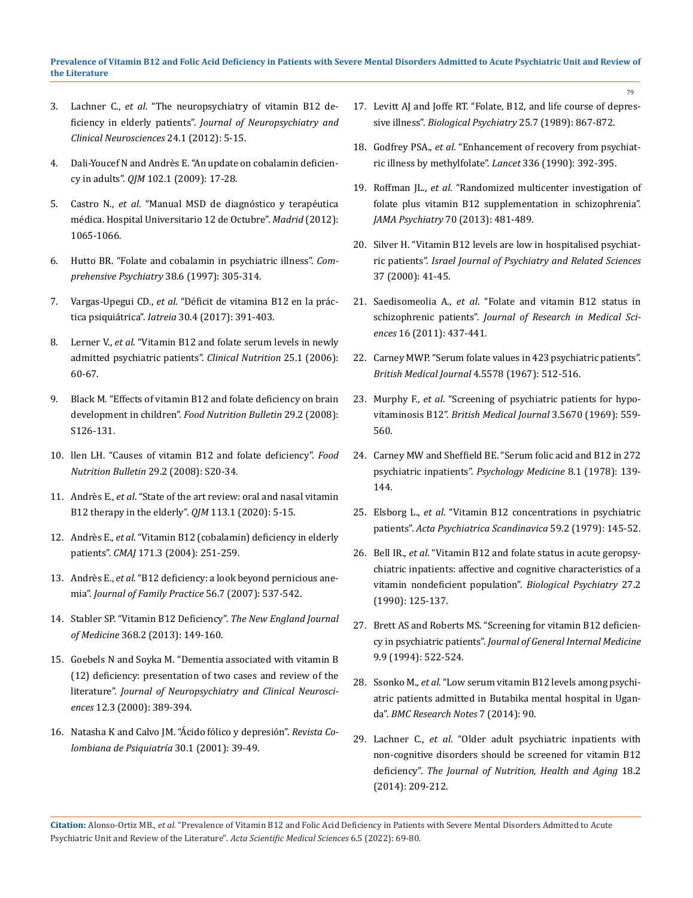- 3. Lachner C., *et al*[. "The neuropsychiatry of vitamin B12 de](https://pubmed.ncbi.nlm.nih.gov/22450609/)ficiency in elderly patients". *[Journal of Neuropsychiatry and](https://pubmed.ncbi.nlm.nih.gov/22450609/)  [Clinical Neurosciences](https://pubmed.ncbi.nlm.nih.gov/22450609/)* 24.1 (2012): 5-15.
- 4. [Dali-Youcef N and Andrès E. "An update on cobalamin deficien](https://pubmed.ncbi.nlm.nih.gov/18990719/)cy in adults". *QJM* [102.1 \(2009\): 17-28.](https://pubmed.ncbi.nlm.nih.gov/18990719/)
- 5. Castro N., *et al*. "Manual MSD de diagnóstico y terapéutica médica. Hospital Universitario 12 de Octubre". *Madrid* (2012): 1065-1066.
- 6. [Hutto BR. "Folate and cobalamin in psychiatric illness".](https://pubmed.ncbi.nlm.nih.gov/9406735/) *Com[prehensive Psychiatry](https://pubmed.ncbi.nlm.nih.gov/9406735/)* 38.6 (1997): 305-314.
- 7. Vargas-Upegui CD., *et al*[. "Déficit de vitamina B12 en la prác](http://www.scielo.org.co/pdf/iat/v30n4/0121-0793-iat-30-04-00391.pdf)tica psiquiátrica". *Iatreia* [30.4 \(2017\): 391-403.](http://www.scielo.org.co/pdf/iat/v30n4/0121-0793-iat-30-04-00391.pdf)
- 8. Lerner V., *et al*[. "Vitamin B12 and folate serum levels in newly](https://pubmed.ncbi.nlm.nih.gov/16216392/)  [admitted psychiatric patients".](https://pubmed.ncbi.nlm.nih.gov/16216392/) *Clinical Nutrition* 25.1 (2006): [60-67.](https://pubmed.ncbi.nlm.nih.gov/16216392/)
- 9. [Black M. "Effects of vitamin B12 and folate deficiency on brain](https://pubmed.ncbi.nlm.nih.gov/18709887/)  development in children". *[Food Nutrition Bulletin](https://pubmed.ncbi.nlm.nih.gov/18709887/)* 29.2 (2008): [S126-131.](https://pubmed.ncbi.nlm.nih.gov/18709887/)
- 10. [llen LH. "Causes of vitamin B12 and folate deficiency".](https://pubmed.ncbi.nlm.nih.gov/18709879/) *Food [Nutrition Bulletin](https://pubmed.ncbi.nlm.nih.gov/18709879/)* 29.2 (2008): S20-34.
- 11. Andrès E., *et al*[. "State of the art review: oral and nasal vitamin](https://academic.oup.com/qjmed/article/113/1/5/5362041)  [B12 therapy in the elderly".](https://academic.oup.com/qjmed/article/113/1/5/5362041) *QJM* 113.1 (2020): 5-15.
- 12. Andrès E., *et al*. "Vitamin B12 (cobalamin) deficiency in elderly patients". *CMAJ* 171.3 (2004): 251-259.
- 13. Andrès E., *et al*[. "B12 deficiency: a look beyond pernicious ane](https://pubmed.ncbi.nlm.nih.gov/17605945/)mia". *[Journal of Family Practice](https://pubmed.ncbi.nlm.nih.gov/17605945/)* 56.7 (2007): 537-542.
- 14. [Stabler SP. "Vitamin B12 Deficiency".](https://www.nejm.org/doi/full/10.1056/nejmcp1113996) *The New England Journal of Medicine* [368.2 \(2013\): 149-160.](https://www.nejm.org/doi/full/10.1056/nejmcp1113996)
- 15. [Goebels N and Soyka M. "Dementia associated with vitamin B](https://pubmed.ncbi.nlm.nih.gov/10956574/)  [\(12\) deficiency: presentation of two cases and review of the](https://pubmed.ncbi.nlm.nih.gov/10956574/)  literature". *[Journal of Neuropsychiatry and Clinical Neurosci](https://pubmed.ncbi.nlm.nih.gov/10956574/)ences* [12.3 \(2000\): 389-394.](https://pubmed.ncbi.nlm.nih.gov/10956574/)
- 16. [Natasha K and Calvo JM. "Ácido fólico y depresión".](https://www.researchgate.net/publication/237040341_Acido_folico_y_depresion) *Revista Co[lombiana de Psiquiatría](https://www.researchgate.net/publication/237040341_Acido_folico_y_depresion)* 30.1 (2001): 39-49.

17. [Levitt AJ and Joffe RT. "Folate, B12, and life course of depres](https://pubmed.ncbi.nlm.nih.gov/2720001/)sive illness". *[Biological Psychiatry](https://pubmed.ncbi.nlm.nih.gov/2720001/)* 25.7 (1989): 867-872.

79

- 18. Godfrey PSA., *et al*[. "Enhancement of recovery from psychiat](https://pubmed.ncbi.nlm.nih.gov/1974941/)[ric illness by methylfolate".](https://pubmed.ncbi.nlm.nih.gov/1974941/) *Lancet* 336 (1990): 392-395.
- 19. Roffman JL., *et al*[. "Randomized multicenter investigation of](https://pubmed.ncbi.nlm.nih.gov/23467813/)  [folate plus vitamin B12 supplementation in schizophrenia".](https://pubmed.ncbi.nlm.nih.gov/23467813/)  *[JAMA Psychiatry](https://pubmed.ncbi.nlm.nih.gov/23467813/)* 70 (2013): 481-489.
- 20. Silver H. "Vitamin B12 levels are low in hospitalised psychiatric patients". *Israel Journal of Psychiatry and Related Sciences*  37 (2000): 41-45.
- 21. Saedisomeolia A., *et al*. "Folate and vitamin B12 status in schizophrenic patients". *Journal of Research in Medical Sciences* 16 (2011): 437-441.
- 22. [Carney MWP. "Serum folate values in 423 psychiatric patients".](https://pubmed.ncbi.nlm.nih.gov/6065984/)  *[British Medical Journal](https://pubmed.ncbi.nlm.nih.gov/6065984/)* 4.5578 (1967): 512-516.
- 23. Murphy F., *et al*[. "Screening of psychiatric patients for hypo](https://pubmed.ncbi.nlm.nih.gov/5803687/)vitaminosis B12". *[British Medical Journal](https://pubmed.ncbi.nlm.nih.gov/5803687/)* 3.5670 (1969): 559- [560.](https://pubmed.ncbi.nlm.nih.gov/5803687/)
- 24. Carney MW and Sheffield BE. "Serum folic acid and B12 in 272 psychiatric inpatients". *Psychology Medicine* 8.1 (1978): 139- 144.
- 25. Elsborg L., *et al*. "Vitamin B12 concentrations in psychiatric patients". *Acta Psychiatrica Scandinavica* 59.2 (1979): 145-52.
- 26. Bell IR., *et al*[. "Vitamin B12 and folate status in acute geropsy](https://pubmed.ncbi.nlm.nih.gov/2294976/)[chiatric inpatients: affective and cognitive characteristics of a](https://pubmed.ncbi.nlm.nih.gov/2294976/)  [vitamin nondeficient population".](https://pubmed.ncbi.nlm.nih.gov/2294976/) *Biological Psychiatry* 27.2 [\(1990\): 125-137.](https://pubmed.ncbi.nlm.nih.gov/2294976/)
- 27. [Brett AS and Roberts MS. "Screening for vitamin B12 deficien](https://pubmed.ncbi.nlm.nih.gov/7996297/)cy in psychiatric patients". *[Journal of General Internal Medicine](https://pubmed.ncbi.nlm.nih.gov/7996297/)*  [9.9 \(1994\): 522-524.](https://pubmed.ncbi.nlm.nih.gov/7996297/)
- 28. Ssonko M., *et al*. "Low serum vitamin B12 levels among psychiatric patients admitted in Butabika mental hospital in Uganda". *BMC Research Notes* 7 (2014): 90.
- 29. Lachner C., *et al*. "Older adult psychiatric inpatients with non-cognitive disorders should be screened for vitamin B12 deficiency". *The Journal of Nutrition, Health and Aging* 18.2 (2014): 209-212.